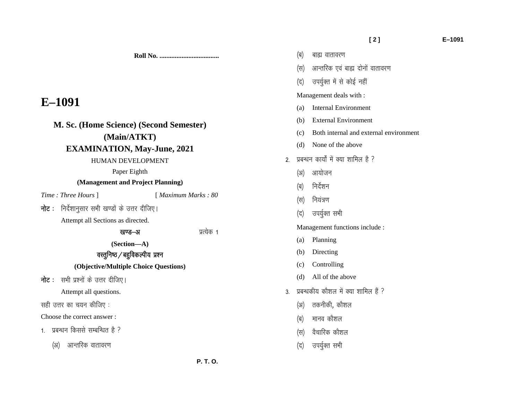**Roll No. ...................................** 

## **E–1091**

| M. Sc. (Home Science) (Second Semester)                  |                      |
|----------------------------------------------------------|----------------------|
| (Main/ATKT)                                              |                      |
| <b>EXAMINATION, May-June, 2021</b>                       |                      |
| <b>HUMAN DEVELOPMENT</b>                                 |                      |
| Paper Eighth                                             |                      |
| (Management and Project Planning)                        |                      |
| Time : Three Hours ]                                     | [ Maximum Marks : 80 |
| <b>नोट</b> :    निर्देशानुसार सभी खण्डों के उत्तर दीजिए। |                      |
| Attempt all Sections as directed.                        |                      |
| खण्ड—अ                                                   | प्रत्येक 1           |
| (Section-A)<br>वस्तुनिष्ठ / बहुविकल्पीय)प्रश्न           |                      |
| (Objective/Multiple Choice Questions)                    |                      |
| <b>नोट</b> :    सभी प्रश्नों के उत्तर दीजिए।             |                      |
| Attempt all questions.                                   |                      |
| सही उत्तर का चयन कीजिए :                                 |                      |
| Choose the correct answer:                               |                      |
| 1.   प्रबन्धन किससे सम्बन्धित है ?                       |                      |
| (अ) आन्तरिक वातावरण                                      |                      |

| (ब) |  | बाह्य वातावरण |
|-----|--|---------------|
|-----|--|---------------|

- (स) आन्तरिक एवं बाह्य दोनों वातावरण
- (द) उपर्युक्त में से कोई नहीं

Management deals with :

- (a) Internal Environment
- (b) External Environment
- (c) Both internal and external environment
- (d) None of the above
- 2. प्रबन्धन कार्यों में क्या शामिल है ?
	- (अ) आयोजन
	- (ब) निर्देशन
	- (स) नियंत्रण
	- (द) उपर्युक्त सभी

Management functions include :

- (a) Planning
- (b) Directing
- (c) Controlling
- (d) All of the above
- $3.$  प्रबन्धकीय कौशल में क्या शामिल हैं ?
	- (अ) तकनीकी, कौशल
	- (ब) मानव कौशल
	- (स) वैचारिक कौशल
	- (द) उपर्युक्त सभी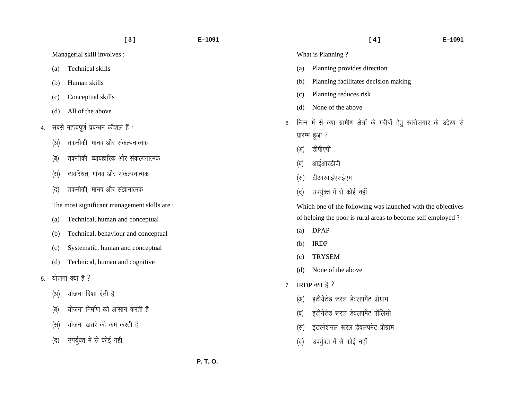|    |      | [3]                                          | E-1091 |    |      | [4]                                                                         | E-1091 |
|----|------|----------------------------------------------|--------|----|------|-----------------------------------------------------------------------------|--------|
|    |      | Managerial skill involves :                  |        |    |      | What is Planning?                                                           |        |
|    | (a)  | Technical skills                             |        |    | (a)  | Planning provides direction                                                 |        |
|    | (b)  | Human skills                                 |        |    | (b)  | Planning facilitates decision making                                        |        |
|    | (c)  | Conceptual skills                            |        |    | (c)  | Planning reduces risk                                                       |        |
|    | (d)  | All of the above                             |        |    | (d)  | None of the above                                                           |        |
| 4. |      | सबसे महत्वपूर्ण प्रबन्धन कौशल हैं :          |        | 6. |      | निम्न में से क्या ग्रामीण क्षेत्रों के गरीबों हेतु स्वरोजगार के उद्देश्य से |        |
|    | (3I) | तकनीकी, मानव और संकल्पनात्मक                 |        |    |      | प्रारम्भ हुआ ?                                                              |        |
|    |      |                                              |        |    | (3I) | डीपीएपी                                                                     |        |
|    | (ब)  | तकनीकी, व्यावहारिक और संकल्पनात्मक           |        |    | (ब)  | आईआरडीपी                                                                    |        |
|    | (स)  | व्यवस्थित, मानव और संकल्पनात्मक              |        |    | (स)  | टीआरवाईएसईएम                                                                |        |
|    | (द)  | तकनीकी, मानव और संज्ञानात्मक                 |        |    | (द)  | उपर्युक्त में से कोई नहीं                                                   |        |
|    |      | The most significant management skills are : |        |    |      | Which one of the following was launched with the objectives                 |        |
|    | (a)  | Technical, human and conceptual              |        |    |      | of helping the poor is rural areas to become self employed?                 |        |
|    | (b)  | Technical, behaviour and conceptual          |        |    | (a)  | <b>DPAP</b>                                                                 |        |
|    | (c)  | Systematic, human and conceptual             |        |    | (b)  | <b>IRDP</b>                                                                 |        |
|    | (d)  | Technical, human and cognitive               |        |    | (c)  | <b>TRYSEM</b>                                                               |        |
| 5. |      | योजना क्या है ?                              |        |    | (d)  | None of the above                                                           |        |
|    |      |                                              |        | 7. |      | IRDP क्या है ?                                                              |        |
|    | (3I) | योजना दिशा देती है                           |        |    | (3I) | इंटीग्रेटेड रूरल डेवलपमेंट प्रोग्राम                                        |        |
|    | (ब)  | योजना निर्माण को आसान करती है                |        |    | (ब)  | इंटीग्रेटेड रूरल डेवलपमेंट पॉलिसी                                           |        |
|    | (स)  | योजना खतरे को कम करती है                     |        |    | (स)  | इटरनेशनल रूरल डेवलपमेंट प्रोग्राम                                           |        |
|    | (द)  | उपर्युक्त में से कोई नहीं                    |        |    | (द)  | उपर्युक्त में से कोई नहीं                                                   |        |
|    |      |                                              |        |    |      |                                                                             |        |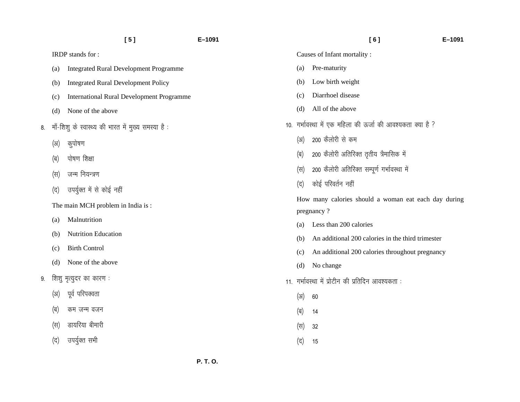|    |             | [5]                                                 | E-1091 |      | [6]                                                        | E-1091 |
|----|-------------|-----------------------------------------------------|--------|------|------------------------------------------------------------|--------|
|    |             | IRDP stands for:                                    |        |      | Causes of Infant mortality:                                |        |
|    | (a)         | <b>Integrated Rural Development Programme</b>       |        | (a)  | Pre-maturity                                               |        |
|    | (b)         | <b>Integrated Rural Development Policy</b>          |        | (b)  | Low birth weight                                           |        |
|    | (c)         | <b>International Rural Development Programme</b>    |        | (c)  | Diarrhoel disease                                          |        |
|    | (d)         | None of the above                                   |        | (d)  | All of the above                                           |        |
|    |             | माँ-शिशु के स्वास्थ्य की भारत में मुख्य समस्या है : |        |      | 10. गर्भावस्था में एक महिला की ऊर्जा की आवश्यकता क्या है ? |        |
|    | (3I)        | कुपोषण                                              |        | (3I) | 200 कैलोरी से कम                                           |        |
|    | (ब)         | पोषण शिक्षा                                         |        | (ब)  | 200 कैलोरी अतिरिक्त तृतीय त्रैमासिक में                    |        |
|    | (स)         | जन्म नियन्त्रण                                      |        | (स)  | 200 कैलोरी अतिरिक्त सम्पूर्ण गर्भावस्था में                |        |
|    | $(\vec{a})$ | उपर्युक्त में से कोई नहीं                           |        | (द)  | कोई परिवर्तन नहीं                                          |        |
|    |             | The main MCH problem in India is:                   |        |      | How many calories should a woman eat each day during       |        |
|    |             |                                                     |        |      | pregnancy?                                                 |        |
|    | (a)         | Malnutrition                                        |        | (a)  | Less than 200 calories                                     |        |
|    | (b)         | <b>Nutrition Education</b>                          |        | (b)  | An additional 200 calories in the third trimester          |        |
|    | (c)         | <b>Birth Control</b>                                |        | (c)  | An additional 200 calories throughout pregnancy            |        |
|    | (d)         | None of the above                                   |        | (d)  | No change                                                  |        |
| 9. |             | शिशु मृत्युदर का कारण :                             |        |      | 11. गर्भावस्था में प्रोटीन की प्रतिदिन आवश्यकता:           |        |
|    | (3I)        | पूर्व परिपक्वता                                     |        | (3I) | 60                                                         |        |
|    | (ब)         | कम जन्म वजन                                         |        | (ब)  | 14                                                         |        |
|    | (स)         | डायरिया बीमारी                                      |        | (स)  | 32                                                         |        |
|    | (द)         | उपर्युक्त सभी                                       |        | (द)  | 15                                                         |        |
|    |             |                                                     |        |      |                                                            |        |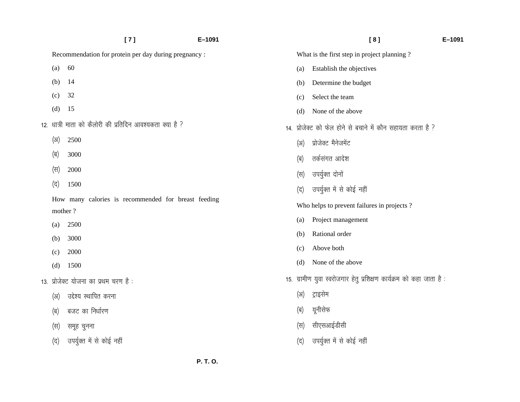|                |                                                          | [7] | E-1091 |      | [8]                                                                 | E-1091 |
|----------------|----------------------------------------------------------|-----|--------|------|---------------------------------------------------------------------|--------|
|                | Recommendation for protein per day during pregnancy :    |     |        |      | What is the first step in project planning?                         |        |
| (a)            | 60                                                       |     |        | (a)  | Establish the objectives                                            |        |
| (b)            | 14                                                       |     |        | (b)  | Determine the budget                                                |        |
| (c)            | 32                                                       |     |        | (c)  | Select the team                                                     |        |
| (d)            | 15                                                       |     |        | (d)  | None of the above                                                   |        |
|                | 12. धात्री माता को कैलोरी की प्रतिदिन आवश्यकता क्या है ? |     |        |      | 14. प्रोजेक्ट को फेल होने से बचाने में कौन सहायता करता है ?         |        |
| (3I)           | 2500                                                     |     |        | (3I) | प्रोजेक्ट मैनेजमेंट                                                 |        |
| (ब)            | 3000                                                     |     |        | (ब)  | तर्कसंगत आदेश                                                       |        |
| (स)            | 2000                                                     |     |        | (स)  | उपर्युक्त दोनो                                                      |        |
| (द)            | 1500                                                     |     |        | (द)  | उपर्युक्त में से कोई नहीं                                           |        |
|                | How many calories is recommended for breast feeding      |     |        |      | Who helps to prevent failures in projects ?                         |        |
| mother?<br>(a) | 2500                                                     |     |        | (a)  | Project management                                                  |        |
| (b)            | 3000                                                     |     |        | (b)  | Rational order                                                      |        |
| (c)            | 2000                                                     |     |        | (c)  | Above both                                                          |        |
| (d)            | 1500                                                     |     |        | (d)  | None of the above                                                   |        |
|                | 13. प्रोजेक्ट योजना का प्रथम चरण है:                     |     |        |      | 15. ग्रामीण युवा स्वरोजगार हेतु प्रशिक्षण कार्यक्रम को कहा जाता है: |        |
| (3I)           | उद्देश्य स्थापित करना                                    |     |        | (3I) | ट्राइसेम                                                            |        |
| (ब)            | बजट का निर्धारण                                          |     |        | (ब)  | यूनीसेफ                                                             |        |
| (स)            | समूह चुनना                                               |     |        | (स)  | सीएसआईडीसी                                                          |        |
| (द)            | उपर्युक्त में से कोई नहीं                                |     |        | (द)  | उपर्युक्त में से कोई नहीं                                           |        |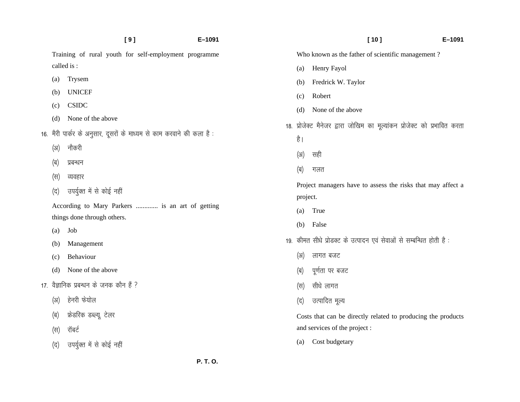|                                                 | [9]                                                                    | E-1091 |          |                               | [10]                                                                      | $E - 1091$ |
|-------------------------------------------------|------------------------------------------------------------------------|--------|----------|-------------------------------|---------------------------------------------------------------------------|------------|
|                                                 | Training of rural youth for self-employment programme                  |        |          |                               | Who known as the father of scientific management?                         |            |
| called is:                                      |                                                                        |        | (a)      | Henry Fayol                   |                                                                           |            |
| (a)                                             | Trysem                                                                 |        | (b)      | Fredrick W. Taylor            |                                                                           |            |
| (b)                                             | <b>UNICEF</b>                                                          |        | (c)      | Robert                        |                                                                           |            |
| (c)                                             | <b>CSIDC</b>                                                           |        | (d)      | None of the above             |                                                                           |            |
| (d)                                             | None of the above                                                      |        |          |                               | 18. प्रोजेक्ट मैनेजर द्वारा जोखिम का मूल्यांकन प्रोजेक्ट को प्रभावित करता |            |
|                                                 | 16.  मैरी पार्कर के अनुसार, दूसरों के माध्यम से काम करवाने की कला है : |        | है       |                               |                                                                           |            |
| (3I)                                            | नौकरी                                                                  |        | (3I)     | सही                           |                                                                           |            |
| (ब)                                             | प्रबन्धन                                                               |        |          |                               |                                                                           |            |
| (स)                                             | व्यवहार                                                                |        | (ब)      | गलत                           |                                                                           |            |
| (द)                                             | उपर्युक्त में से कोई नहीं                                              |        |          |                               | Project managers have to assess the risks that may affect a               |            |
| According to Mary Parkers  is an art of getting |                                                                        |        | project. |                               |                                                                           |            |
|                                                 | things done through others.                                            |        | (a)      | True                          |                                                                           |            |
| (a)                                             | Job                                                                    |        | (b)      | False                         |                                                                           |            |
| (b)                                             | Management                                                             |        |          |                               | 19. कीमत सीधे प्रोडक्ट के उत्पादन एवं सेवाओं से सम्बन्धित होती है:        |            |
| (c)                                             | Behaviour                                                              |        | (3I)     | लागत बजट                      |                                                                           |            |
| (d)                                             | None of the above                                                      |        | (ब)      | पूर्णता पर बजट                |                                                                           |            |
|                                                 | 17.  वैज्ञानिक प्रबन्धन के जनक कौन हैं ?                               |        | (स)      | सीधे लागत                     |                                                                           |            |
| (3I)                                            | हेनरी फेयोल                                                            |        | (द)      | उत्पादित मूल्य                |                                                                           |            |
| (ब)                                             | फ्रेडरिक डब्ल्यू. टेलर                                                 |        |          |                               | Costs that can be directly related to producing the products              |            |
| $(\forall)$                                     | रॉबर्ट                                                                 |        |          | and services of the project : |                                                                           |            |
| (द)                                             | उपर्युक्त में से कोई नहीं                                              |        | (a)      | Cost budgetary                |                                                                           |            |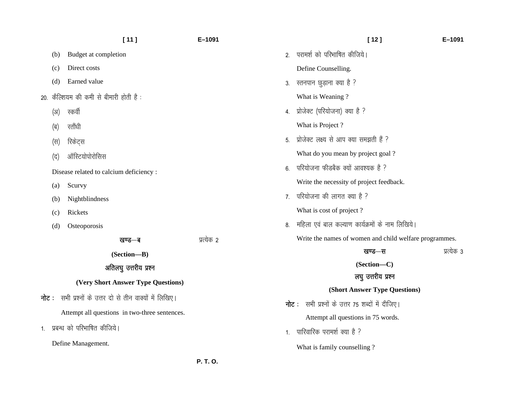|     |                                               | [11]                                                            | E-1091     |                                   | $[12]$                                                 | E-1091     |  |
|-----|-----------------------------------------------|-----------------------------------------------------------------|------------|-----------------------------------|--------------------------------------------------------|------------|--|
|     | (b)                                           | Budget at completion                                            |            | परामर्श को परिभाषित कीजिये।<br>2. |                                                        |            |  |
|     | (c)                                           | Direct costs                                                    |            |                                   | Define Counselling.                                    |            |  |
|     | (d)                                           | Earned value                                                    |            | 3.                                | स्तनपान छुड़ाना क्या है ?                              |            |  |
| 20. |                                               | कैल्शियम की कमी से बीमारी होती है:                              |            |                                   | What is Weaning?                                       |            |  |
|     | (31)                                          | स्कर्वी                                                         |            | 4.                                | प्रोजेक्ट (परियोजना) क्या है ?                         |            |  |
|     | (ब)                                           | रतौंधी                                                          |            |                                   | What is Project?                                       |            |  |
|     | (स)                                           | रिकेट्स                                                         |            | 5.                                | प्रोजेक्ट लक्ष्य से आप क्या समझती हैं ?                |            |  |
|     | (द)                                           | ऑस्टियोपोरोसिस                                                  |            |                                   | What do you mean by project goal?                      |            |  |
|     |                                               | Disease related to calcium deficiency :                         |            | 6.                                | परियोजना फीडबैक क्यों आवश्यक है ?                      |            |  |
|     | (a)                                           | Scurvy                                                          |            |                                   | Write the necessity of project feedback.               |            |  |
|     | (b)                                           | Nightblindness                                                  |            | 7.                                | परियोजना की लागत क्या है ?                             |            |  |
|     | (c)                                           | Rickets                                                         |            |                                   | What is cost of project?                               |            |  |
|     | (d)                                           | Osteoporosis                                                    |            | 8.                                | महिला एवं बाल कल्याण कार्यक्रमों के नाम लिखिये।        |            |  |
|     |                                               | खण्ड—ब                                                          | प्रत्येक 2 |                                   | Write the names of women and child welfare programmes. |            |  |
|     |                                               | (Section-B)                                                     |            |                                   | खण्ड—स                                                 | प्रत्येक 3 |  |
|     |                                               | अतिलघु उत्तरीय प्रश्न                                           |            |                                   | (Section-C)                                            |            |  |
|     |                                               | (Very Short Answer Type Questions)                              |            |                                   | लघु उत्तरीय प्रश्न                                     |            |  |
|     |                                               |                                                                 |            |                                   | (Short Answer Type Questions)                          |            |  |
|     |                                               | <b>नोट</b> : सभी प्रश्नों के उत्तर दो से तीन वाक्यों में लिखिए। |            |                                   | <b>नोट:</b> सभी प्रश्नों के उत्तर 75 शब्दों में दीजिए। |            |  |
|     | Attempt all questions in two-three sentences. |                                                                 |            |                                   | Attempt all questions in 75 words.                     |            |  |
| 1.  |                                               | प्रबन्ध को परिभाषित कीजिये।                                     |            | पारिवारिक परामर्श क्या है ?<br>1. |                                                        |            |  |
|     | Define Management.                            |                                                                 |            | What is family counselling?       |                                                        |            |  |
|     |                                               |                                                                 | P. T. O.   |                                   |                                                        |            |  |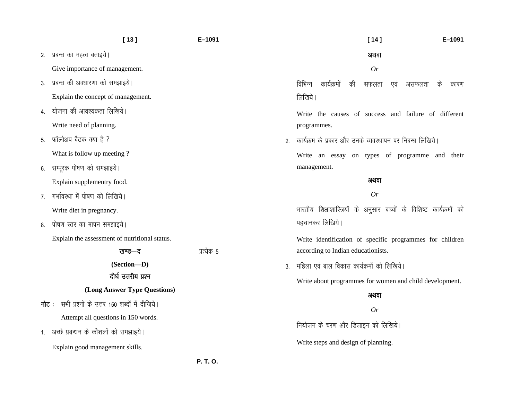|                                                                                                                                 | प्रबन्ध का महत्व बताइये।<br>2.                |                | अथवा                                                                 |
|---------------------------------------------------------------------------------------------------------------------------------|-----------------------------------------------|----------------|----------------------------------------------------------------------|
|                                                                                                                                 | Give importance of management.                |                | <b>Or</b>                                                            |
|                                                                                                                                 | प्रबन्ध की अवधारणा को समझाइये।<br>3.          |                | कार्यक्रमों<br>विभिन्न<br>की<br>सफलता<br>एवं<br>असफलता<br>के<br>कारण |
|                                                                                                                                 | Explain the concept of management.            |                | लिखिये ।                                                             |
|                                                                                                                                 | योजना की आवश्यकता लिखिये।<br>4.               |                | Write the causes of success and failure of different                 |
|                                                                                                                                 | Write need of planning.                       |                | programmes.                                                          |
|                                                                                                                                 | फॉलोअप बैठक क्या है ?<br>5.                   | 2 <sup>2</sup> | कार्यक्रम के प्रकार और उनके व्यवस्थापन पर निबन्ध लिखिये।             |
|                                                                                                                                 | What is follow up meeting?                    |                | Write an essay on types of programme and their                       |
|                                                                                                                                 | सम्पूरक पोषण को समझाइये।<br>6.                |                | management.                                                          |
|                                                                                                                                 | Explain supplementry food.                    |                | अथवा                                                                 |
|                                                                                                                                 | गर्भावस्था में पोषण को लिखिये।<br>7.          |                | <b>Or</b>                                                            |
|                                                                                                                                 | Write diet in pregnancy.                      |                | भारतीय शिक्षाशास्त्रियों के अनुसार बच्चों के विशिष्ट कार्यक्रमों को  |
|                                                                                                                                 | पोषण स्तर का मापन समझाइये।<br>8.              |                | पहचानकर लिखिये।                                                      |
|                                                                                                                                 | Explain the assessment of nutritional status. |                | Write identification of specific programmes for children             |
|                                                                                                                                 | खण्ड—द                                        | प्रत्येक 5     | according to Indian educationists.                                   |
| (Section-D)<br>दीर्घ उत्तरीय प्रश्न<br>(Long Answer Type Questions)<br><b>नोट:</b> सभी प्रश्नों के उत्तर 150 शब्दों में दीजिये। |                                               | 3 <sub>1</sub> | महिला एवं बाल विकास कार्यक्रमों को लिखिये।                           |
|                                                                                                                                 |                                               |                | Write about programmes for women and child development.              |
|                                                                                                                                 |                                               |                | अथवा                                                                 |
|                                                                                                                                 |                                               |                | <b>Or</b>                                                            |
|                                                                                                                                 | Attempt all questions in 150 words.           |                | नियोजन के चरण और डिजाइन को लिखिये।                                   |
|                                                                                                                                 | अच्छे प्रबन्धन के कौशलों को समझाइये।<br>1.    |                |                                                                      |
|                                                                                                                                 | Explain good management skills.               |                | Write steps and design of planning.                                  |
|                                                                                                                                 |                                               |                |                                                                      |

 **[ 14 ] E–1091** 

 **[ 13 ] E–1091** 

 **P. T. O.**